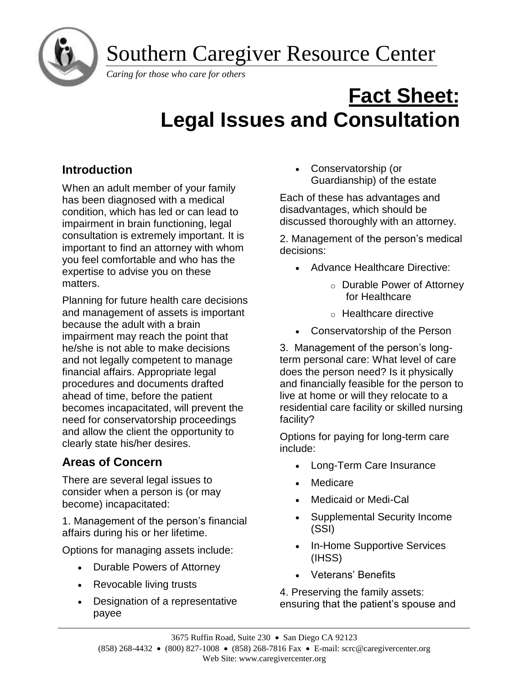Southern Caregiver Resource Center



*Caring for those who care for others*

# **Fact Sheet: Legal Issues and Consultation**

# **Introduction**

When an adult member of your family has been diagnosed with a medical condition, which has led or can lead to impairment in brain functioning, legal consultation is extremely important. It is important to find an attorney with whom you feel comfortable and who has the expertise to advise you on these matters.

Planning for future health care decisions and management of assets is important because the adult with a brain impairment may reach the point that he/she is not able to make decisions and not legally competent to manage financial affairs. Appropriate legal procedures and documents drafted ahead of time, before the patient becomes incapacitated, will prevent the need for conservatorship proceedings and allow the client the opportunity to clearly state his/her desires.

# **Areas of Concern**

There are several legal issues to consider when a person is (or may become) incapacitated:

1. Management of the person's financial affairs during his or her lifetime.

Options for managing assets include:

- Durable Powers of Attorney
- Revocable living trusts
- Designation of a representative payee

• Conservatorship (or Guardianship) of the estate

Each of these has advantages and disadvantages, which should be discussed thoroughly with an attorney.

2. Management of the person's medical decisions:

- Advance Healthcare Directive:
	- o Durable Power of Attorney for Healthcare
	- o Healthcare directive
- Conservatorship of the Person

3.Management of the person's longterm personal care: What level of care does the person need? Is it physically and financially feasible for the person to live at home or will they relocate to a residential care facility or skilled nursing facility?

Options for paying for long-term care include:

- Long-Term Care Insurance
- **Medicare**
- Medicaid or Medi-Cal
- Supplemental Security Income (SSI)
- In-Home Supportive Services (IHSS)
- Veterans' Benefits

4. Preserving the family assets: ensuring that the patient's spouse and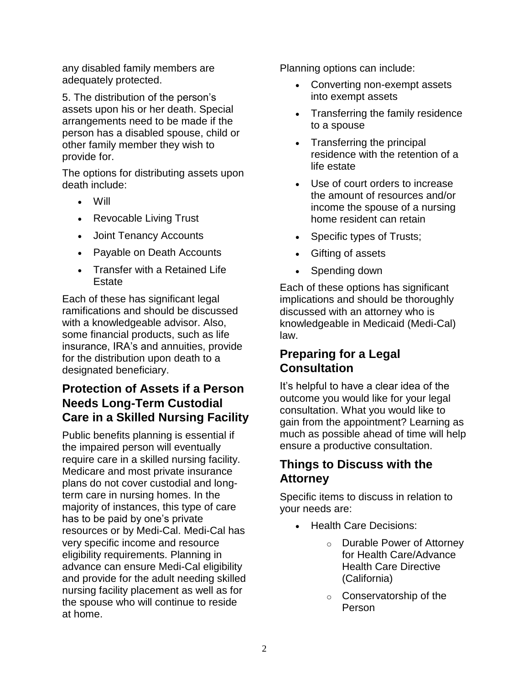any disabled family members are adequately protected.

5. The distribution of the person's assets upon his or her death. Special arrangements need to be made if the person has a disabled spouse, child or other family member they wish to provide for.

The options for distributing assets upon death include:

- Will
- Revocable Living Trust
- Joint Tenancy Accounts
- Payable on Death Accounts
- Transfer with a Retained Life **Estate**

Each of these has significant legal ramifications and should be discussed with a knowledgeable advisor. Also, some financial products, such as life insurance, IRA's and annuities, provide for the distribution upon death to a designated beneficiary.

# **Protection of Assets if a Person Needs Long-Term Custodial Care in a Skilled Nursing Facility**

Public benefits planning is essential if the impaired person will eventually require care in a skilled nursing facility. Medicare and most private insurance plans do not cover custodial and longterm care in nursing homes. In the majority of instances, this type of care has to be paid by one's private resources or by Medi-Cal. Medi-Cal has very specific income and resource eligibility requirements. Planning in advance can ensure Medi-Cal eligibility and provide for the adult needing skilled nursing facility placement as well as for the spouse who will continue to reside at home.

Planning options can include:

- Converting non-exempt assets into exempt assets
- Transferring the family residence to a spouse
- Transferring the principal residence with the retention of a life estate
- Use of court orders to increase the amount of resources and/or income the spouse of a nursing home resident can retain
- Specific types of Trusts;
- Gifting of assets
- Spending down

Each of these options has significant implications and should be thoroughly discussed with an attorney who is knowledgeable in Medicaid (Medi-Cal) law.

## **Preparing for a Legal Consultation**

It's helpful to have a clear idea of the outcome you would like for your legal consultation. What you would like to gain from the appointment? Learning as much as possible ahead of time will help ensure a productive consultation.

# **Things to Discuss with the Attorney**

Specific items to discuss in relation to your needs are:

- Health Care Decisions:
	- o Durable Power of Attorney for Health Care/Advance Health Care Directive (California)
	- o Conservatorship of the Person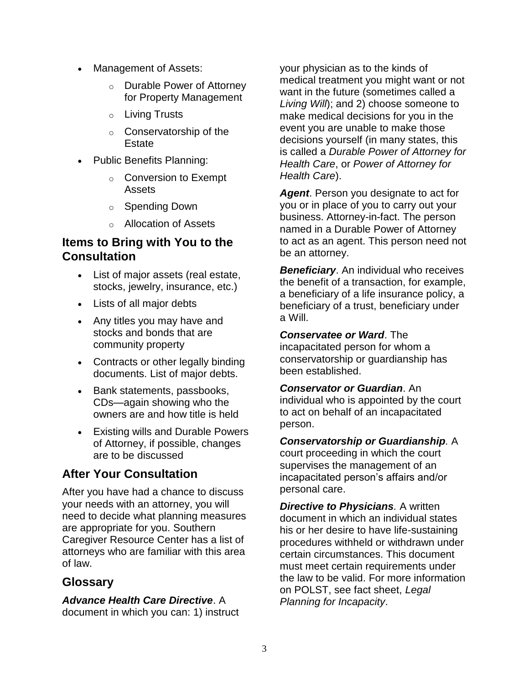- Management of Assets:
	- o Durable Power of Attorney for Property Management
	- o Living Trusts
	- o Conservatorship of the **Estate**
- Public Benefits Planning:
	- o Conversion to Exempt Assets
	- o Spending Down
	- o Allocation of Assets

## **Items to Bring with You to the Consultation**

- List of major assets (real estate, stocks, jewelry, insurance, etc.)
- Lists of all major debts
- Any titles you may have and stocks and bonds that are community property
- Contracts or other legally binding documents. List of major debts.
- Bank statements, passbooks, CDs—again showing who the owners are and how title is held
- Existing wills and Durable Powers of Attorney, if possible, changes are to be discussed

# **After Your Consultation**

After you have had a chance to discuss your needs with an attorney, you will need to decide what planning measures are appropriate for you. Southern Caregiver Resource Center has a list of attorneys who are familiar with this area of law.

## **Glossary**

### *Advance Health Care Directive*. A

document in which you can: 1) instruct

your physician as to the kinds of medical treatment you might want or not want in the future (sometimes called a *Living Will*); and 2) choose someone to make medical decisions for you in the event you are unable to make those decisions yourself (in many states, this is called a *Durable Power of Attorney for Health Care*, or *Power of Attorney for Health Care*).

*Agent*. Person you designate to act for you or in place of you to carry out your business. Attorney-in-fact. The person named in a Durable Power of Attorney to act as an agent. This person need not be an attorney.

*Beneficiary*. An individual who receives the benefit of a transaction, for example, a beneficiary of a life insurance policy, a beneficiary of a trust, beneficiary under a Will.

*Conservatee or Ward*. The incapacitated person for whom a conservatorship or guardianship has been established.

*Conservator or Guardian*. An individual who is appointed by the court to act on behalf of an incapacitated person.

*Conservatorship or Guardianship.* A court proceeding in which the court supervises the management of an incapacitated person's affairs and/or personal care.

*Directive to Physicians. A written* document in which an individual states his or her desire to have life-sustaining procedures withheld or withdrawn under certain circumstances. This document must meet certain requirements under the law to be valid. For more information on POLST, see fact sheet, *Legal Planning for Incapacity*.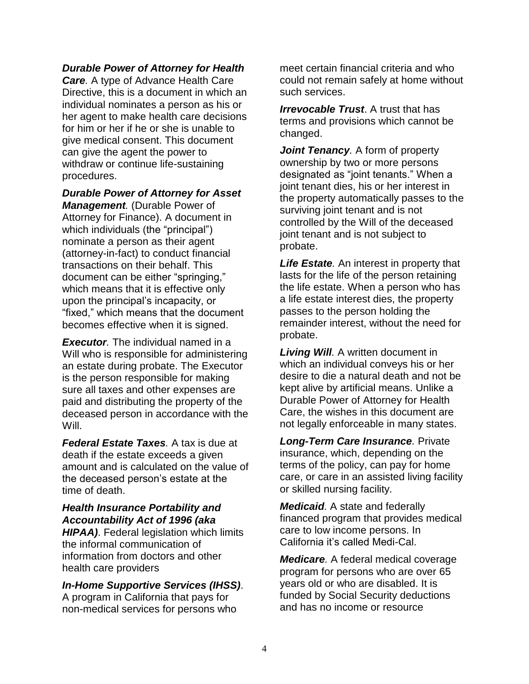#### *Durable Power of Attorney for Health*

*Care.* A type of Advance Health Care Directive, this is a document in which an individual nominates a person as his or her agent to make health care decisions for him or her if he or she is unable to give medical consent. This document can give the agent the power to withdraw or continue life-sustaining procedures.

*Durable Power of Attorney for Asset Management.* (Durable Power of Attorney for Finance). A document in which individuals (the "principal") nominate a person as their agent (attorney-in-fact) to conduct financial transactions on their behalf. This document can be either "springing," which means that it is effective only upon the principal's incapacity, or "fixed," which means that the document becomes effective when it is signed.

*Executor.* The individual named in a Will who is responsible for administering an estate during probate. The Executor is the person responsible for making sure all taxes and other expenses are paid and distributing the property of the deceased person in accordance with the Will.

*Federal Estate Taxes.* A tax is due at death if the estate exceeds a given amount and is calculated on the value of the deceased person's estate at the time of death.

## *Health Insurance Portability and Accountability Act of 1996 (aka*

*HIPAA)*. Federal legislation which limits the informal communication of information from doctors and other health care providers

*In-Home Supportive Services (IHSS)*. A program in California that pays for non-medical services for persons who

meet certain financial criteria and who could not remain safely at home without such services.

*Irrevocable Trust*. A trust that has terms and provisions which cannot be changed.

*Joint Tenancy.* A form of property ownership by two or more persons designated as "joint tenants." When a joint tenant dies, his or her interest in the property automatically passes to the surviving joint tenant and is not controlled by the Will of the deceased joint tenant and is not subject to probate.

*Life Estate.* An interest in property that lasts for the life of the person retaining the life estate. When a person who has a life estate interest dies, the property passes to the person holding the remainder interest, without the need for probate.

*Living Will.* A written document in which an individual conveys his or her desire to die a natural death and not be kept alive by artificial means. Unlike a Durable Power of Attorney for Health Care, the wishes in this document are not legally enforceable in many states.

*Long-Term Care Insurance.* Private insurance, which, depending on the terms of the policy, can pay for home care, or care in an assisted living facility or skilled nursing facility.

*Medicaid.* A state and federally financed program that provides medical care to low income persons. In California it's called Medi-Cal.

*Medicare.* A federal medical coverage program for persons who are over 65 years old or who are disabled. It is funded by Social Security deductions and has no income or resource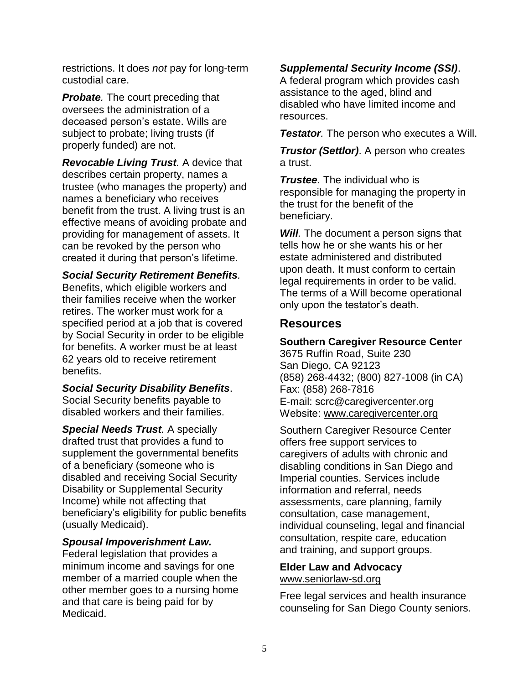restrictions. It does *not* pay for long-term custodial care.

*Probate.* The court preceding that oversees the administration of a deceased person's estate. Wills are subject to probate; living trusts (if properly funded) are not.

*Revocable Living Trust.* A device that describes certain property, names a trustee (who manages the property) and names a beneficiary who receives benefit from the trust. A living trust is an effective means of avoiding probate and providing for management of assets. It can be revoked by the person who created it during that person's lifetime.

*Social Security Retirement Benefits.* Benefits, which eligible workers and their families receive when the worker retires. The worker must work for a specified period at a job that is covered by Social Security in order to be eligible for benefits. A worker must be at least 62 years old to receive retirement benefits.

*Social Security Disability Benefits*. Social Security benefits payable to disabled workers and their families.

*Special Needs Trust.* A specially drafted trust that provides a fund to supplement the governmental benefits of a beneficiary (someone who is disabled and receiving Social Security Disability or Supplemental Security Income) while not affecting that beneficiary's eligibility for public benefits (usually Medicaid).

#### *Spousal Impoverishment Law.*

Federal legislation that provides a minimum income and savings for one member of a married couple when the other member goes to a nursing home and that care is being paid for by Medicaid.

#### *Supplemental Security Income (SSI)*.

A federal program which provides cash assistance to the aged, blind and disabled who have limited income and resources.

*Testator.* The person who executes a Will.

*Trustor (Settlor)*. A person who creates a trust.

*Trustee.* The individual who is responsible for managing the property in the trust for the benefit of the beneficiary.

*Will.* The document a person signs that tells how he or she wants his or her estate administered and distributed upon death. It must conform to certain legal requirements in order to be valid. The terms of a Will become operational only upon the testator's death.

## **Resources**

**Southern Caregiver Resource Center**

3675 Ruffin Road, Suite 230 San Diego, CA 92123 (858) 268-4432; (800) 827-1008 (in CA) Fax: (858) 268-7816 E-mail: scrc@caregivercenter.org Website: [www.caregivercenter.org](http://www.caregivercenter.org/)

Southern Caregiver Resource Center offers free support services to caregivers of adults with chronic and disabling conditions in San Diego and Imperial counties. Services include information and referral, needs assessments, care planning, family consultation, case management, individual counseling, legal and financial consultation, respite care, education and training, and support groups.

#### **Elder Law and Advocacy** [www.seniorlaw-sd.org](http://www.seniorlaw-sd.org/)

Free legal services and health insurance counseling for San Diego County seniors.